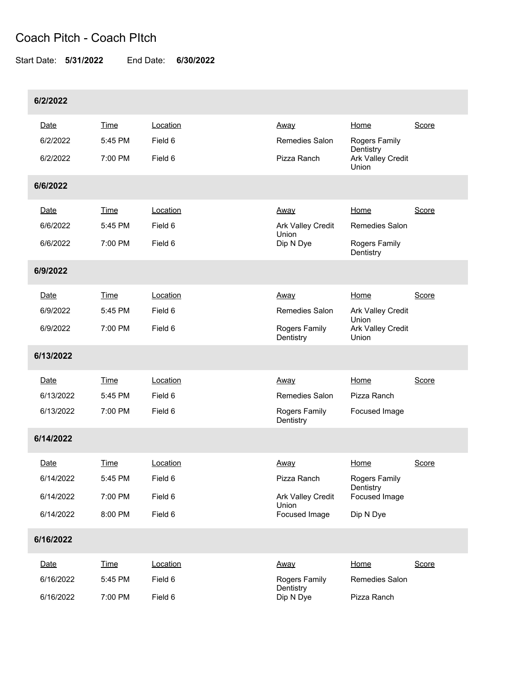## Coach Pitch - Coach PItch

Start Date: **5/31/2022** End Date: **6/30/2022**

| 6/2/2022  |             |          |                            |                                             |       |  |  |  |  |  |
|-----------|-------------|----------|----------------------------|---------------------------------------------|-------|--|--|--|--|--|
| Date      | <b>Time</b> | Location | <u>Away</u>                | Home                                        | Score |  |  |  |  |  |
| 6/2/2022  | 5:45 PM     | Field 6  | <b>Remedies Salon</b>      | Rogers Family<br>Dentistry                  |       |  |  |  |  |  |
| 6/2/2022  | 7:00 PM     | Field 6  | Pizza Ranch                | Ark Valley Credit<br>Union                  |       |  |  |  |  |  |
| 6/6/2022  |             |          |                            |                                             |       |  |  |  |  |  |
| Date      | <b>Time</b> | Location | <u>Away</u>                | Home                                        | Score |  |  |  |  |  |
| 6/6/2022  | 5:45 PM     | Field 6  | Ark Valley Credit<br>Union | Remedies Salon                              |       |  |  |  |  |  |
| 6/6/2022  | 7:00 PM     | Field 6  | Dip N Dye                  | Rogers Family<br>Dentistry                  |       |  |  |  |  |  |
| 6/9/2022  |             |          |                            |                                             |       |  |  |  |  |  |
| Date      | Time        | Location | Away                       | Home                                        | Score |  |  |  |  |  |
| 6/9/2022  | 5:45 PM     | Field 6  | Remedies Salon             | Ark Valley Credit<br>Union                  |       |  |  |  |  |  |
| 6/9/2022  | 7:00 PM     | Field 6  | Rogers Family<br>Dentistry | Ark Valley Credit<br>Union                  |       |  |  |  |  |  |
| 6/13/2022 |             |          |                            |                                             |       |  |  |  |  |  |
| Date      | <b>Time</b> | Location | <u>Away</u>                | Home                                        | Score |  |  |  |  |  |
| 6/13/2022 | 5:45 PM     | Field 6  | Remedies Salon             | Pizza Ranch                                 |       |  |  |  |  |  |
| 6/13/2022 | 7:00 PM     | Field 6  | Rogers Family<br>Dentistry | Focused Image                               |       |  |  |  |  |  |
| 6/14/2022 |             |          |                            |                                             |       |  |  |  |  |  |
| Date      | Time        | Location | Away                       | Home                                        | Score |  |  |  |  |  |
| 6/14/2022 | 5:45 PM     | Field 6  | Pizza Ranch                | Rogers Family<br>Dentistry<br>Focused Image |       |  |  |  |  |  |
| 6/14/2022 | 7:00 PM     | Field 6  | Ark Valley Credit          |                                             |       |  |  |  |  |  |
| 6/14/2022 | 8:00 PM     | Field 6  | Union<br>Focused Image     | Dip N Dye                                   |       |  |  |  |  |  |
| 6/16/2022 |             |          |                            |                                             |       |  |  |  |  |  |
| Date      | <b>Time</b> | Location | Away                       | Home                                        | Score |  |  |  |  |  |
| 6/16/2022 | 5:45 PM     | Field 6  | Rogers Family              | Remedies Salon                              |       |  |  |  |  |  |
| 6/16/2022 | 7:00 PM     | Field 6  | Dentistry<br>Dip N Dye     | Pizza Ranch                                 |       |  |  |  |  |  |